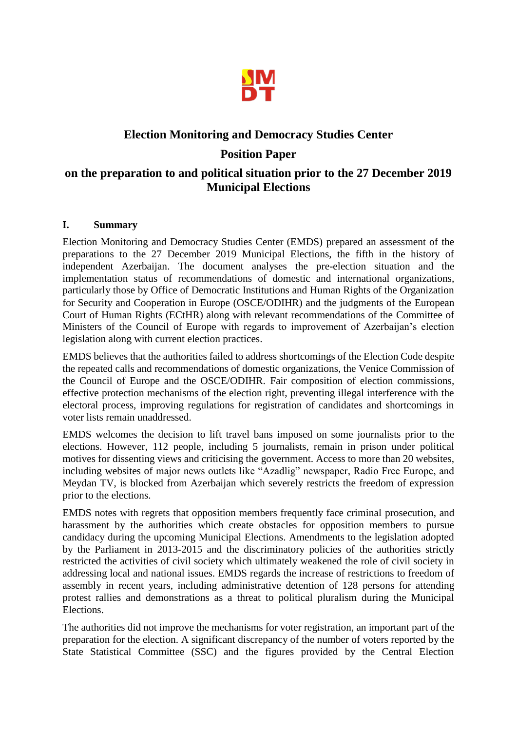

# **Election Monitoring and Democracy Studies Center Position Paper on the preparation to and political situation prior to the 27 December 2019 Municipal Elections**

#### **I. Summary**

Election Monitoring and Democracy Studies Center (EMDS) prepared an assessment of the preparations to the 27 December 2019 Municipal Elections, the fifth in the history of independent Azerbaijan. The document analyses the pre-election situation and the implementation status of recommendations of domestic and international organizations, particularly those by Office of Democratic Institutions and Human Rights of the Organization for Security and Cooperation in Europe (OSCE/ODIHR) and the judgments of the European Court of Human Rights (ECtHR) along with relevant recommendations of the Committee of Ministers of the Council of Europe with regards to improvement of Azerbaijan's election legislation along with current election practices.

EMDS believes that the authorities failed to address shortcomings of the Election Code despite the repeated calls and recommendations of domestic organizations, the Venice Commission of the Council of Europe and the OSCE/ODIHR. Fair composition of election commissions, effective protection mechanisms of the election right, preventing illegal interference with the electoral process, improving regulations for registration of candidates and shortcomings in voter lists remain unaddressed.

EMDS welcomes the decision to lift travel bans imposed on some journalists prior to the elections. However, 112 people, including 5 journalists, remain in prison under political motives for dissenting views and criticising the government. Access to more than 20 websites, including websites of major news outlets like "Azadlig" newspaper, Radio Free Europe, and Meydan TV, is blocked from Azerbaijan which severely restricts the freedom of expression prior to the elections.

EMDS notes with regrets that opposition members frequently face criminal prosecution, and harassment by the authorities which create obstacles for opposition members to pursue candidacy during the upcoming Municipal Elections. Amendments to the legislation adopted by the Parliament in 2013-2015 and the discriminatory policies of the authorities strictly restricted the activities of civil society which ultimately weakened the role of civil society in addressing local and national issues. EMDS regards the increase of restrictions to freedom of assembly in recent years, including administrative detention of 128 persons for attending protest rallies and demonstrations as a threat to political pluralism during the Municipal Elections.

The authorities did not improve the mechanisms for voter registration, an important part of the preparation for the election. A significant discrepancy of the number of voters reported by the State Statistical Committee (SSC) and the figures provided by the Central Election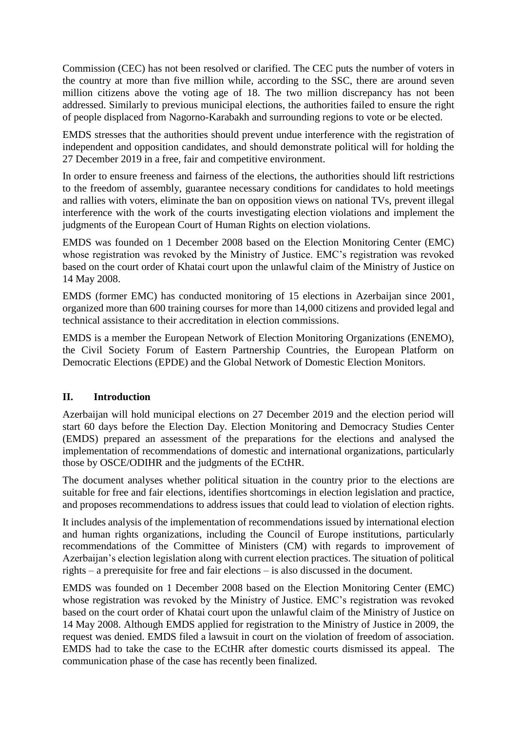Commission (CEC) has not been resolved or clarified. The CEC puts the number of voters in the country at more than five million while, according to the SSC, there are around seven million citizens above the voting age of 18. The two million discrepancy has not been addressed. Similarly to previous municipal elections, the authorities failed to ensure the right of people displaced from Nagorno-Karabakh and surrounding regions to vote or be elected.

EMDS stresses that the authorities should prevent undue interference with the registration of independent and opposition candidates, and should demonstrate political will for holding the 27 December 2019 in a free, fair and competitive environment.

In order to ensure freeness and fairness of the elections, the authorities should lift restrictions to the freedom of assembly, guarantee necessary conditions for candidates to hold meetings and rallies with voters, eliminate the ban on opposition views on national TVs, prevent illegal interference with the work of the courts investigating election violations and implement the judgments of the European Court of Human Rights on election violations.

EMDS was founded on 1 December 2008 based on the Election Monitoring Center (EMC) whose registration was revoked by the Ministry of Justice. EMC's registration was revoked based on the court order of Khatai court upon the unlawful claim of the Ministry of Justice on 14 May 2008.

EMDS (former EMC) has conducted monitoring of 15 elections in Azerbaijan since 2001, organized more than 600 training courses for more than 14,000 citizens and provided legal and technical assistance to their accreditation in election commissions.

EMDS is a member the European Network of Election Monitoring Organizations (ENEMO), the Civil Society Forum of Eastern Partnership Countries, the European Platform on Democratic Elections (EPDE) and the Global Network of Domestic Election Monitors.

# **II. Introduction**

Azerbaijan will hold municipal elections on 27 December 2019 and the election period will start 60 days before the Election Day. Election Monitoring and Democracy Studies Center (EMDS) prepared an assessment of the preparations for the elections and analysed the implementation of recommendations of domestic and international organizations, particularly those by OSCE/ODIHR and the judgments of the ECtHR.

The document analyses whether political situation in the country prior to the elections are suitable for free and fair elections, identifies shortcomings in election legislation and practice, and proposes recommendations to address issues that could lead to violation of election rights.

It includes analysis of the implementation of recommendations issued by international election and human rights organizations, including the Council of Europe institutions, particularly recommendations of the Committee of Ministers (CM) with regards to improvement of Azerbaijan's election legislation along with current election practices. The situation of political rights – a prerequisite for free and fair elections – is also discussed in the document.

EMDS was founded on 1 December 2008 based on the Election Monitoring Center (EMC) whose registration was revoked by the Ministry of Justice. EMC's registration was revoked based on the court order of Khatai court upon the unlawful claim of the Ministry of Justice on 14 May 2008. Although EMDS applied for registration to the Ministry of Justice in 2009, the request was denied. EMDS filed a lawsuit in court on the violation of freedom of association. EMDS had to take the case to the ECtHR after domestic courts dismissed its appeal. The communication phase of the case has recently been finalized.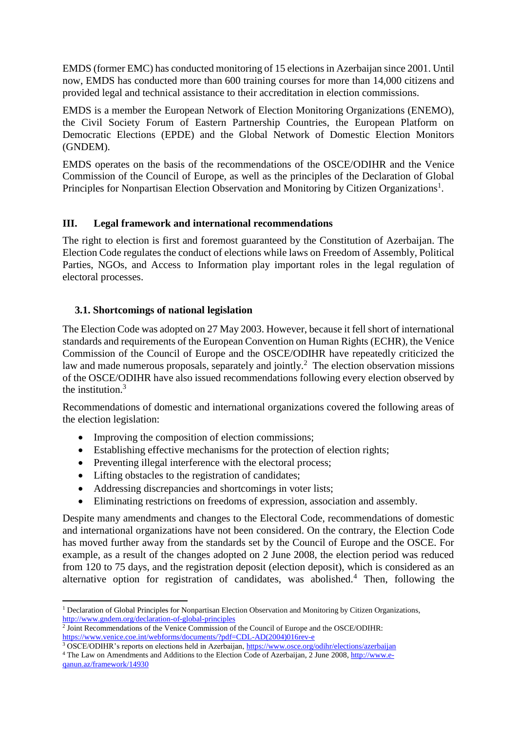EMDS (former EMC) has conducted monitoring of 15 elections in Azerbaijan since 2001. Until now, EMDS has conducted more than 600 training courses for more than 14,000 citizens and provided legal and technical assistance to their accreditation in election commissions.

EMDS is a member the European Network of Election Monitoring Organizations (ENEMO), the Civil Society Forum of Eastern Partnership Countries, the European Platform on Democratic Elections (EPDE) and the Global Network of Domestic Election Monitors (GNDEM).

EMDS operates on the basis of the recommendations of the OSCE/ODIHR and the Venice Commission of the Council of Europe, as well as the principles of the Declaration of Global Principles for Nonpartisan Election Observation and Monitoring by Citizen Organizations<sup>1</sup>.

# **III. Legal framework and international recommendations**

The right to election is first and foremost guaranteed by the Constitution of Azerbaijan. The Election Code regulates the conduct of elections while laws on Freedom of Assembly, Political Parties, NGOs, and Access to Information play important roles in the legal regulation of electoral processes.

#### **3.1. Shortcomings of national legislation**

The Election Code was adopted on 27 May 2003. However, because it fell short of international standards and requirements of the European Convention on Human Rights (ECHR), the Venice Commission of the Council of Europe and the OSCE/ODIHR have repeatedly criticized the law and made numerous proposals, separately and jointly.<sup>2</sup> The election observation missions of the OSCE/ODIHR have also issued recommendations following every election observed by the institution.<sup>3</sup>

Recommendations of domestic and international organizations covered the following areas of the election legislation:

- Improving the composition of election commissions;
- Establishing effective mechanisms for the protection of election rights;
- Preventing illegal interference with the electoral process;
- Lifting obstacles to the registration of candidates;

**.** 

- Addressing discrepancies and shortcomings in voter lists;
- Eliminating restrictions on freedoms of expression, association and assembly.

Despite many amendments and changes to the Electoral Code, recommendations of domestic and international organizations have not been considered. On the contrary, the Election Code has moved further away from the standards set by the Council of Europe and the OSCE. For example, as a result of the changes adopted on 2 June 2008, the election period was reduced from 120 to 75 days, and the registration deposit (election deposit), which is considered as an alternative option for registration of candidates, was abolished.<sup>4</sup> Then, following the

<sup>&</sup>lt;sup>1</sup> Declaration of Global Principles for Nonpartisan Election Observation and Monitoring by Citizen Organizations, <http://www.gndem.org/declaration-of-global-principles>

<sup>2</sup> Joint Recommendations of the Venice Commission of the Council of Europe and the OSCE/ODIHR: [https://www.venice.coe.int/webforms/documents/?pdf=CDL-AD\(2004\)016rev-e](https://www.venice.coe.int/webforms/documents/?pdf=CDL-AD(2004)016rev-e)

<sup>&</sup>lt;sup>3</sup> OSCE/ODIHR's reports on elections held in Azerbaijan[, https://www.osce.org/odihr/elections/azerbaijan](https://www.osce.org/odihr/elections/azerbaijan) <sup>4</sup> The Law on Amendments and Additions to the Election Code of Azerbaijan, 2 June 2008, [http://www.e](http://www.e-qanun.az/framework/14930)[qanun.az/framework/14930](http://www.e-qanun.az/framework/14930)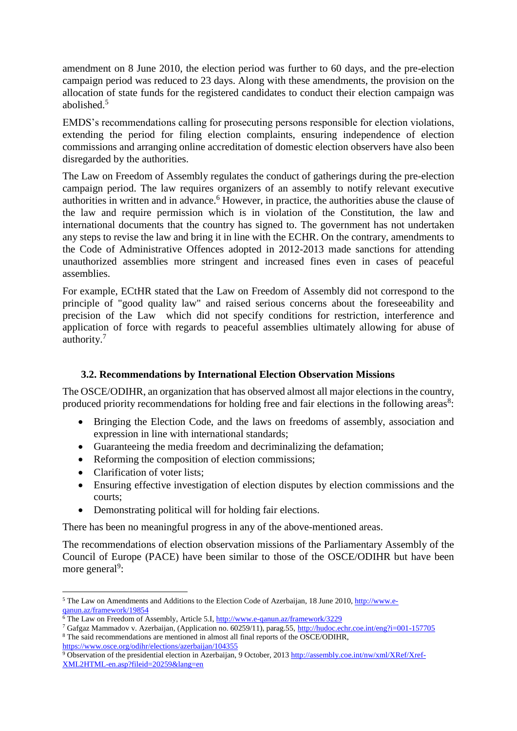amendment on 8 June 2010, the election period was further to 60 days, and the pre-election campaign period was reduced to 23 days. Along with these amendments, the provision on the allocation of state funds for the registered candidates to conduct their election campaign was abolished.<sup>5</sup>

EMDS's recommendations calling for prosecuting persons responsible for election violations, extending the period for filing election complaints, ensuring independence of election commissions and arranging online accreditation of domestic election observers have also been disregarded by the authorities.

The Law on Freedom of Assembly regulates the conduct of gatherings during the pre-election campaign period. The law requires organizers of an assembly to notify relevant executive authorities in written and in advance.<sup>6</sup> However, in practice, the authorities abuse the clause of the law and require permission which is in violation of the Constitution, the law and international documents that the country has signed to. The government has not undertaken any steps to revise the law and bring it in line with the ECHR. On the contrary, amendments to the Code of Administrative Offences adopted in 2012-2013 made sanctions for attending unauthorized assemblies more stringent and increased fines even in cases of peaceful assemblies.

For example, ECtHR stated that the Law on Freedom of Assembly did not correspond to the principle of "good quality law" and raised serious concerns about the foreseeability and precision of the Law which did not specify conditions for restriction, interference and application of force with regards to peaceful assemblies ultimately allowing for abuse of authority.<sup>7</sup>

# **3.2. Recommendations by International Election Observation Missions**

The OSCE/ODIHR, an organization that has observed almost all major elections in the country, produced priority recommendations for holding free and fair elections in the following areas $8$ :

- Bringing the Election Code, and the laws on freedoms of assembly, association and expression in line with international standards;
- Guaranteeing the media freedom and decriminalizing the defamation;
- Reforming the composition of election commissions;
- Clarification of voter lists:

 $\overline{\phantom{a}}$ 

- Ensuring effective investigation of election disputes by election commissions and the courts;
- Demonstrating political will for holding fair elections.

There has been no meaningful progress in any of the above-mentioned areas.

The recommendations of election observation missions of the Parliamentary Assembly of the Council of Europe (PACE) have been similar to those of the OSCE/ODIHR but have been more general<sup>9</sup>:

<sup>&</sup>lt;sup>5</sup> The Law on Amendments and Additions to the Election Code of Azerbaijan, 18 June 2010[, http://www.e](http://www.e-qanun.az/framework/19854)[qanun.az/framework/19854](http://www.e-qanun.az/framework/19854)

 $6$  The Law on Freedom of Assembly, Article 5.I,<http://www.e-qanun.az/framework/3229>

<sup>7</sup> Gafgaz Mammadov v. Azerbaijan, (Application no. 60259/11), parag.55[, http://hudoc.echr.coe.int/eng?i=001-157705](http://hudoc.echr.coe.int/eng?i=001-157705) <sup>8</sup> The said recommendations are mentioned in almost all final reports of the OSCE/ODIHR, <https://www.osce.org/odihr/elections/azerbaijan/104355>

<sup>9</sup> Observation of the presidential election in Azerbaijan, 9 October, 201[3 http://assembly.coe.int/nw/xml/XRef/Xref-](http://assembly.coe.int/nw/xml/XRef/Xref-XML2HTML-en.asp?fileid=20259&lang=en)[XML2HTML-en.asp?fileid=20259&lang=en](http://assembly.coe.int/nw/xml/XRef/Xref-XML2HTML-en.asp?fileid=20259&lang=en)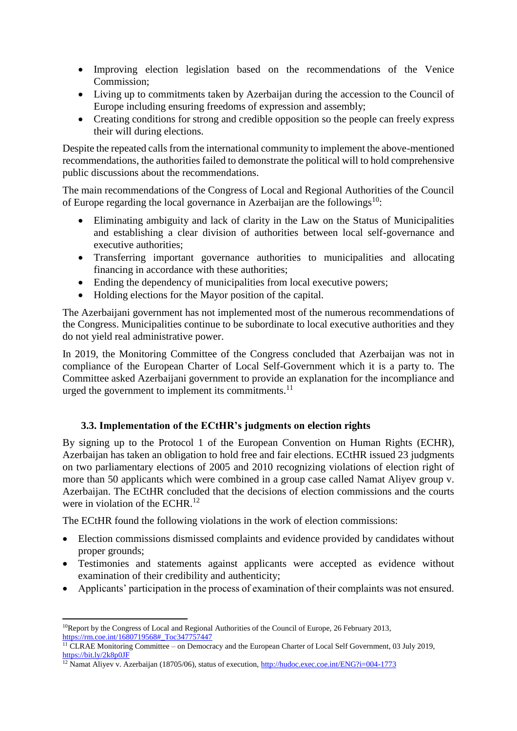- Improving election legislation based on the recommendations of the Venice Commission;
- Living up to commitments taken by Azerbaijan during the accession to the Council of Europe including ensuring freedoms of expression and assembly;
- Creating conditions for strong and credible opposition so the people can freely express their will during elections.

Despite the repeated calls from the international community to implement the above-mentioned recommendations, the authorities failed to demonstrate the political will to hold comprehensive public discussions about the recommendations.

The main recommendations of the Congress of Local and Regional Authorities of the Council of Europe regarding the local governance in Azerbaijan are the followings<sup>10</sup>:

- Eliminating ambiguity and lack of clarity in the Law on the Status of Municipalities and establishing a clear division of authorities between local self-governance and executive authorities;
- Transferring important governance authorities to municipalities and allocating financing in accordance with these authorities;
- Ending the dependency of municipalities from local executive powers;
- Holding elections for the Mayor position of the capital.

The Azerbaijani government has not implemented most of the numerous recommendations of the Congress. Municipalities continue to be subordinate to local executive authorities and they do not yield real administrative power.

In 2019, the Monitoring Committee of the Congress concluded that Azerbaijan was not in compliance of the European Charter of Local Self-Government which it is a party to. The Committee asked Azerbaijani government to provide an explanation for the incompliance and urged the government to implement its commitments.<sup>11</sup>

# **3.3. Implementation of the ECtHR's judgments on election rights**

By signing up to the Protocol 1 of the European Convention on Human Rights (ECHR), Azerbaijan has taken an obligation to hold free and fair elections. ECtHR issued 23 judgments on two parliamentary elections of 2005 and 2010 recognizing violations of election right of more than 50 applicants which were combined in a group case called Namat Aliyev group v. Azerbaijan. The ECtHR concluded that the decisions of election commissions and the courts were in violation of the ECHR.<sup>12</sup>

The ECtHR found the following violations in the work of election commissions:

- Election commissions dismissed complaints and evidence provided by candidates without proper grounds;
- Testimonies and statements against applicants were accepted as evidence without examination of their credibility and authenticity;
- Applicants' participation in the process of examination of their complaints was not ensured.

<sup>1</sup> <sup>10</sup>Report by the Congress of Local and Regional Authorities of the Council of Europe, 26 February 2013, [https://rm.coe.int/1680719568#\\_Toc347757447](https://rm.coe.int/1680719568#_Toc347757447)

<sup>&</sup>lt;sup>11</sup> CLRAE Monitoring Committee – on Democracy and the European Charter of Local Self Government, 03 July 2019, <https://bit.ly/2k8p0JF>

<sup>&</sup>lt;sup>12</sup> Namat Aliyev v. Azerbaijan (18705/06), status of execution[, http://hudoc.exec.coe.int/ENG?i=004-1773](http://hudoc.exec.coe.int/ENG?i=004-1773)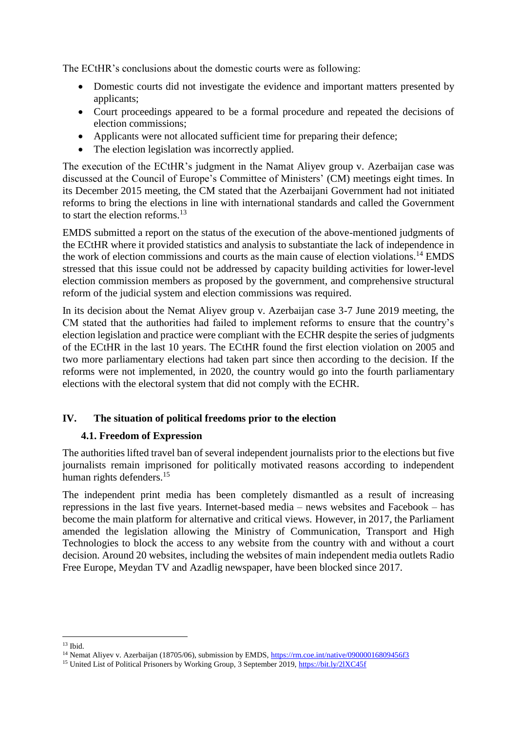The ECtHR's conclusions about the domestic courts were as following:

- Domestic courts did not investigate the evidence and important matters presented by applicants;
- Court proceedings appeared to be a formal procedure and repeated the decisions of election commissions;
- Applicants were not allocated sufficient time for preparing their defence;
- The election legislation was incorrectly applied.

The execution of the ECtHR's judgment in the Namat Aliyev group v. Azerbaijan case was discussed at the Council of Europe's Committee of Ministers' (CM) meetings eight times. In its December 2015 meeting, the CM stated that the Azerbaijani Government had not initiated reforms to bring the elections in line with international standards and called the Government to start the election reforms.<sup>13</sup>

EMDS submitted a report on the status of the execution of the above-mentioned judgments of the ECtHR where it provided statistics and analysis to substantiate the lack of independence in the work of election commissions and courts as the main cause of election violations.<sup>14</sup> EMDS stressed that this issue could not be addressed by capacity building activities for lower-level election commission members as proposed by the government, and comprehensive structural reform of the judicial system and election commissions was required.

In its decision about the Nemat Aliyev group v. Azerbaijan case 3-7 June 2019 meeting, the CM stated that the authorities had failed to implement reforms to ensure that the country's election legislation and practice were compliant with the ECHR despite the series of judgments of the ECtHR in the last 10 years. The ECtHR found the first election violation on 2005 and two more parliamentary elections had taken part since then according to the decision. If the reforms were not implemented, in 2020, the country would go into the fourth parliamentary elections with the electoral system that did not comply with the ECHR.

# **IV. The situation of political freedoms prior to the election**

# **4.1. Freedom of Expression**

The authorities lifted travel ban of several independent journalists prior to the elections but five journalists remain imprisoned for politically motivated reasons according to independent human rights defenders.<sup>15</sup>

The independent print media has been completely dismantled as a result of increasing repressions in the last five years. Internet-based media – news websites and Facebook – has become the main platform for alternative and critical views. However, in 2017, the Parliament amended the legislation allowing the Ministry of Communication, Transport and High Technologies to block the access to any website from the country with and without a court decision. Around 20 websites, including the websites of main independent media outlets Radio Free Europe, Meydan TV and Azadlig newspaper, have been blocked since 2017.

 $\overline{\phantom{a}}$  $13$  Ibid.

<sup>&</sup>lt;sup>14</sup> Nemat Aliyev v. Azerbaijan (18705/06), submission by EMDS,<https://rm.coe.int/native/09000016809456f3>

<sup>&</sup>lt;sup>15</sup> United List of Political Prisoners by Working Group, 3 September 2019,<https://bit.ly/2lXC45f>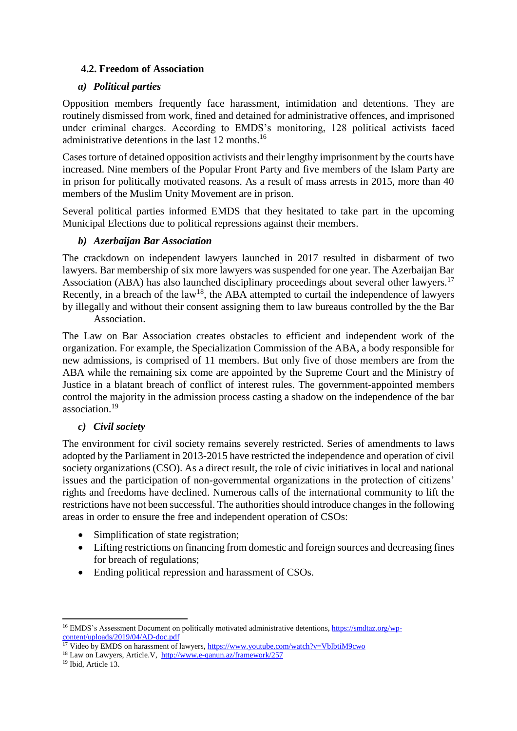# **4.2. Freedom of Association**

# *a) Political parties*

Opposition members frequently face harassment, intimidation and detentions. They are routinely dismissed from work, fined and detained for administrative offences, and imprisoned under criminal charges. According to EMDS's monitoring, 128 political activists faced administrative detentions in the last 12 months.<sup>16</sup>

Cases torture of detained opposition activists and their lengthy imprisonment by the courts have increased. Nine members of the Popular Front Party and five members of the Islam Party are in prison for politically motivated reasons. As a result of mass arrests in 2015, more than 40 members of the Muslim Unity Movement are in prison.

Several political parties informed EMDS that they hesitated to take part in the upcoming Municipal Elections due to political repressions against their members.

# *b) Azerbaijan Bar Association*

The crackdown on independent lawyers launched in 2017 resulted in disbarment of two lawyers. Bar membership of six more lawyers was suspended for one year. The Azerbaijan Bar Association (ABA) has also launched disciplinary proceedings about several other lawyers.<sup>17</sup> Recently, in a breach of the law<sup>18</sup>, the ABA attempted to curtail the independence of lawyers by illegally and without their consent assigning them to law bureaus controlled by the the Bar Association.

The Law on Bar Association creates obstacles to efficient and independent work of the organization. For example, the Specialization Commission of the ABA, a body responsible for new admissions, is comprised of 11 members. But only five of those members are from the ABA while the remaining six come are appointed by the Supreme Court and the Ministry of Justice in a blatant breach of conflict of interest rules. The government-appointed members control the majority in the admission process casting a shadow on the independence of the bar association.<sup>19</sup>

#### *c) Civil society*

The environment for civil society remains severely restricted. Series of amendments to laws adopted by the Parliament in 2013-2015 have restricted the independence and operation of civil society organizations (CSO). As a direct result, the role of civic initiatives in local and national issues and the participation of non-governmental organizations in the protection of citizens' rights and freedoms have declined. Numerous calls of the international community to lift the restrictions have not been successful. The authorities should introduce changes in the following areas in order to ensure the free and independent operation of CSOs:

- Simplification of state registration;
- Lifting restrictions on financing from domestic and foreign sources and decreasing fines for breach of regulations;
- Ending political repression and harassment of CSOs.

<sup>19</sup> Ibid, Article 13.

1

<sup>&</sup>lt;sup>16</sup> EMDS's Assessment Document on politically motivated administrative detentions, [https://smdtaz.org/wp](https://smdtaz.org/wp-content/uploads/2019/04/AD-doc.pdf)[content/uploads/2019/04/AD-doc.pdf](https://smdtaz.org/wp-content/uploads/2019/04/AD-doc.pdf)

<sup>&</sup>lt;sup>17</sup> Video by EMDS on harassment of lawyers,<https://www.youtube.com/watch?v=VblbtiM9cwo>

<sup>18</sup> Law on Lawyers, Article.V,<http://www.e-qanun.az/framework/257>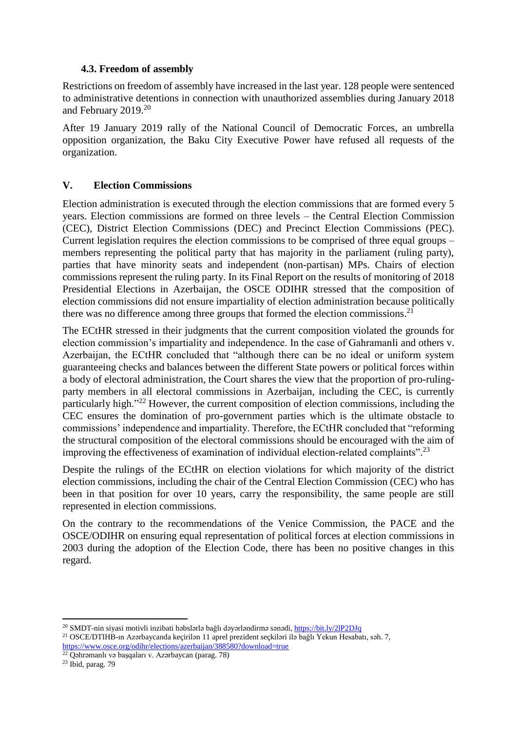#### **4.3. Freedom of assembly**

Restrictions on freedom of assembly have increased in the last year. 128 people were sentenced to administrative detentions in connection with unauthorized assemblies during January 2018 and February 2019.<sup>20</sup>

After 19 January 2019 rally of the National Council of Democratic Forces, an umbrella opposition organization, the Baku City Executive Power have refused all requests of the organization.

# **V. Election Commissions**

Election administration is executed through the election commissions that are formed every 5 years. Election commissions are formed on three levels – the Central Election Commission (CEC), District Election Commissions (DEC) and Precinct Election Commissions (PEC). Current legislation requires the election commissions to be comprised of three equal groups – members representing the political party that has majority in the parliament (ruling party), parties that have minority seats and independent (non-partisan) MPs. Chairs of election commissions represent the ruling party. In its Final Report on the results of monitoring of 2018 Presidential Elections in Azerbaijan, the OSCE ODIHR stressed that the composition of election commissions did not ensure impartiality of election administration because politically there was no difference among three groups that formed the election commissions.<sup>21</sup>

The ECtHR stressed in their judgments that the current composition violated the grounds for election commission's impartiality and independence. In the case of Gahramanli and others v. Azerbaijan, the ECtHR concluded that "although there can be no ideal or uniform system guaranteeing checks and balances between the different State powers or political forces within a body of electoral administration, the Court shares the view that the proportion of pro-rulingparty members in all electoral commissions in Azerbaijan, including the CEC, is currently particularly high."<sup>22</sup> However, the current composition of election commissions, including the CEC ensures the domination of pro-government parties which is the ultimate obstacle to commissions' independence and impartiality. Therefore, the ECtHR concluded that "reforming the structural composition of the electoral commissions should be encouraged with the aim of improving the effectiveness of examination of individual election-related complaints".<sup>23</sup>

Despite the rulings of the ECtHR on election violations for which majority of the district election commissions, including the chair of the Central Election Commission (CEC) who has been in that position for over 10 years, carry the responsibility, the same people are still represented in election commissions.

On the contrary to the recommendations of the Venice Commission, the PACE and the OSCE/ODIHR on ensuring equal representation of political forces at election commissions in 2003 during the adoption of the Election Code, there has been no positive changes in this regard.

<sup>1</sup> <sup>20</sup> SMDT-nin siyasi motivli inzibati həbslərlə bağlı dəyərləndirmə sənədi,<https://bit.ly/2lP2DJq> <sup>21</sup> OSCE/DTIHB-ın Azərbaycanda keçirilən 11 aprel prezident seçkiləri ilə bağlı Yekun Hesabatı, səh. 7, <https://www.osce.org/odihr/elections/azerbaijan/388580?download=true>

<sup>22</sup> Qəhrəmanlı və başqaları v. Azərbaycan (parag. 78)

 $23$  Ibid, parag. 79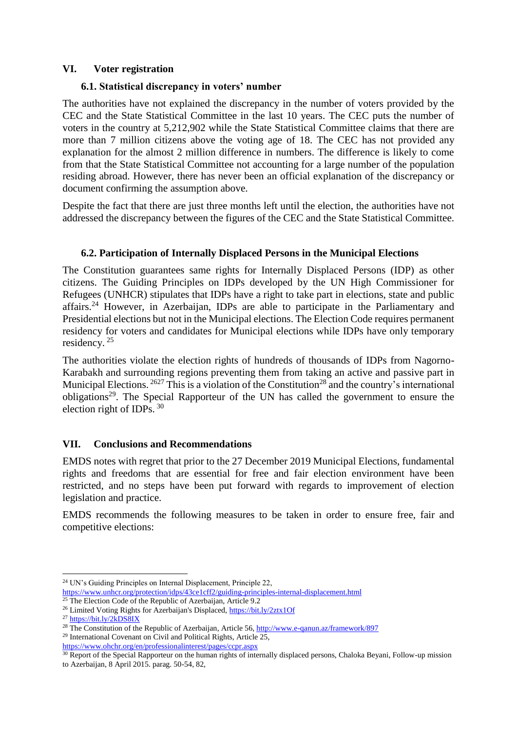#### **VI. Voter registration**

#### **6.1. Statistical discrepancy in voters' number**

The authorities have not explained the discrepancy in the number of voters provided by the CEC and the State Statistical Committee in the last 10 years. The CEC puts the number of voters in the country at 5,212,902 while the State Statistical Committee claims that there are more than 7 million citizens above the voting age of 18. The CEC has not provided any explanation for the almost 2 million difference in numbers. The difference is likely to come from that the State Statistical Committee not accounting for a large number of the population residing abroad. However, there has never been an official explanation of the discrepancy or document confirming the assumption above.

Despite the fact that there are just three months left until the election, the authorities have not addressed the discrepancy between the figures of the CEC and the State Statistical Committee.

# **6.2. Participation of Internally Displaced Persons in the Municipal Elections**

The Constitution guarantees same rights for Internally Displaced Persons (IDP) as other citizens. The Guiding Principles on IDPs developed by the UN High Commissioner for Refugees (UNHCR) stipulates that IDPs have a right to take part in elections, state and public affairs.<sup>24</sup> However, in Azerbaijan, IDPs are able to participate in the Parliamentary and Presidential elections but not in the Municipal elections. The Election Code requires permanent residency for voters and candidates for Municipal elections while IDPs have only temporary residency. <sup>25</sup>

The authorities violate the election rights of hundreds of thousands of IDPs from Nagorno-Karabakh and surrounding regions preventing them from taking an active and passive part in Municipal Elections.  $^{2627}$  This is a violation of the Constitution<sup>28</sup> and the country's international obligations<sup>29</sup>. The Special Rapporteur of the UN has called the government to ensure the election right of IDPs.  $30$ 

# **VII. Conclusions and Recommendations**

EMDS notes with regret that prior to the 27 December 2019 Municipal Elections, fundamental rights and freedoms that are essential for free and fair election environment have been restricted, and no steps have been put forward with regards to improvement of election legislation and practice.

EMDS recommends the following measures to be taken in order to ensure free, fair and competitive elections:

 $\overline{\phantom{a}}$ 

<https://www.ohchr.org/en/professionalinterest/pages/ccpr.aspx>

<sup>24</sup> UN's Guiding Principles on Internal Displacement, Principle 22,

<https://www.unhcr.org/protection/idps/43ce1cff2/guiding-principles-internal-displacement.html>

<sup>&</sup>lt;sup>25</sup> The Election Code of the Republic of Azerbaijan, Article 9.2

<sup>&</sup>lt;sup>26</sup> Limited Voting Rights for Azerbaijan's Displaced,<https://bit.ly/2ztx1Of>

<sup>27</sup> <https://bit.ly/2kDS8IX>

<sup>&</sup>lt;sup>28</sup> The Constitution of the Republic of Azerbaijan, Article 56[, http://www.e-qanun.az/framework/897](http://www.e-qanun.az/framework/897) <sup>29</sup> International Covenant on Civil and Political Rights, Article 25,

<sup>&</sup>lt;sup>30</sup> Report of the Special Rapporteur on the human rights of internally displaced persons, Chaloka Beyani, Follow-up mission to Azerbaijan, 8 April 2015. parag. 50-54, 82,